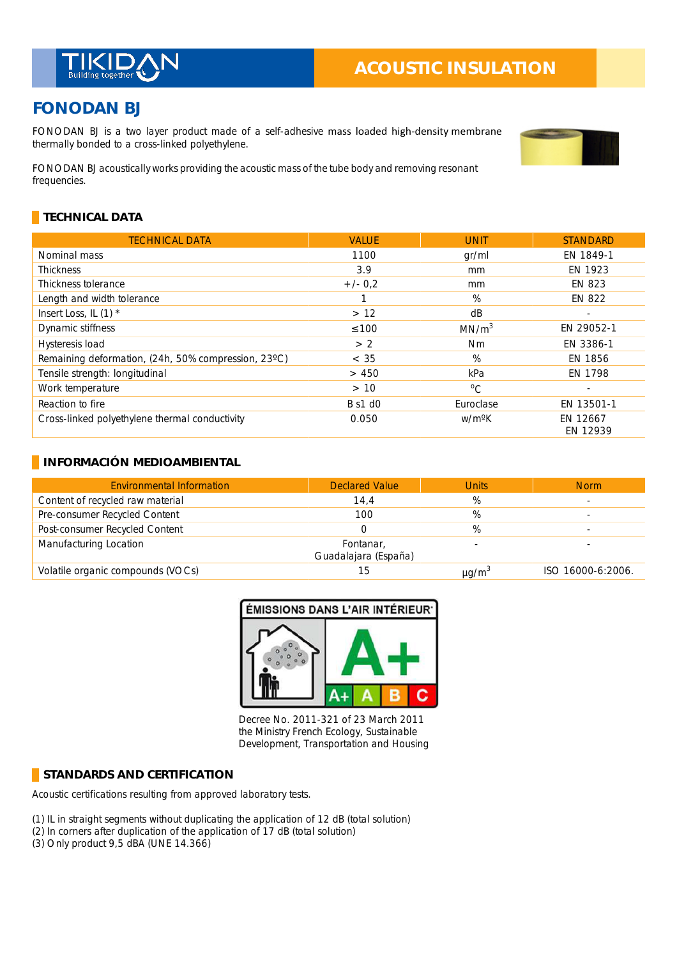

# **ACOUSTIC INSULATION**

# **FONODAN BJ**

FONODAN BJ is a two layer product made of a self-adhesive mass loaded high-density membrane thermally bonded to a cross-linked polyethylene.

FONODAN BJ acoustically works providing the acoustic mass of the tube body and removing resonant frequencies.

## **TECHNICAL DATA**

| <b>TECHNICAL DATA</b>                               | <b>VALUE</b>   | <b>UNIT</b>        | <b>STANDARD</b>      |
|-----------------------------------------------------|----------------|--------------------|----------------------|
| Nominal mass                                        | 1100           | gr/ml              | EN 1849-1            |
| <b>Thickness</b>                                    | 3.9            | mm                 | EN 1923              |
| Thickness tolerance                                 | $+/- 0.2$      | mm                 | EN 823               |
| Length and width tolerance                          |                | $\%$               | <b>EN 822</b>        |
| Insert Loss, IL (1) *                               | >12            | dB                 |                      |
| Dynamic stiffness                                   | $\leq 100$     | MN/m <sup>3</sup>  | EN 29052-1           |
| Hysteresis load                                     | > 2            | Nm                 | EN 3386-1            |
| Remaining deformation, (24h, 50% compression, 23°C) | < 35           | %                  | EN 1856              |
| Tensile strength: longitudinal                      | > 450          | kPa                | EN 1798              |
| Work temperature                                    | >10            | $\rm ^{o}C$        |                      |
| Reaction to fire                                    | <b>B</b> s1 d0 | Euroclase          | EN 13501-1           |
| Cross-linked polyethylene thermal conductivity      | 0.050          | w/m <sup>o</sup> K | EN 12667<br>EN 12939 |

#### **INFORMACIÓN MEDIOAMBIENTAL**

| <b>Environmental Information</b>  | <b>Declared Value</b>             | <b>Units</b>           | <b>Norm</b>       |
|-----------------------------------|-----------------------------------|------------------------|-------------------|
| Content of recycled raw material  | 14,4                              | %                      |                   |
| Pre-consumer Recycled Content     | 100                               | %                      |                   |
| Post-consumer Recycled Content    |                                   | %                      |                   |
| Manufacturing Location            | Fontanar,<br>Guadalajara (España) |                        |                   |
| Volatile organic compounds (VOCs) | 15                                | $\mu$ g/m <sup>3</sup> | ISO 16000-6:2006. |



Decree No. 2011-321 of 23 March 2011 the Ministry French Ecology, Sustainable Development, Transportation and Housing

#### **STANDARDS AND CERTIFICATION**

Acoustic certifications resulting from approved laboratory tests.

- (1) IL in straight segments without duplicating the application of 12 dB (total solution) \_
- (2) In corners after duplication of the application of 17 dB (total solution) \_
- (3) Only product 9,5 dBA (UNE 14.366)

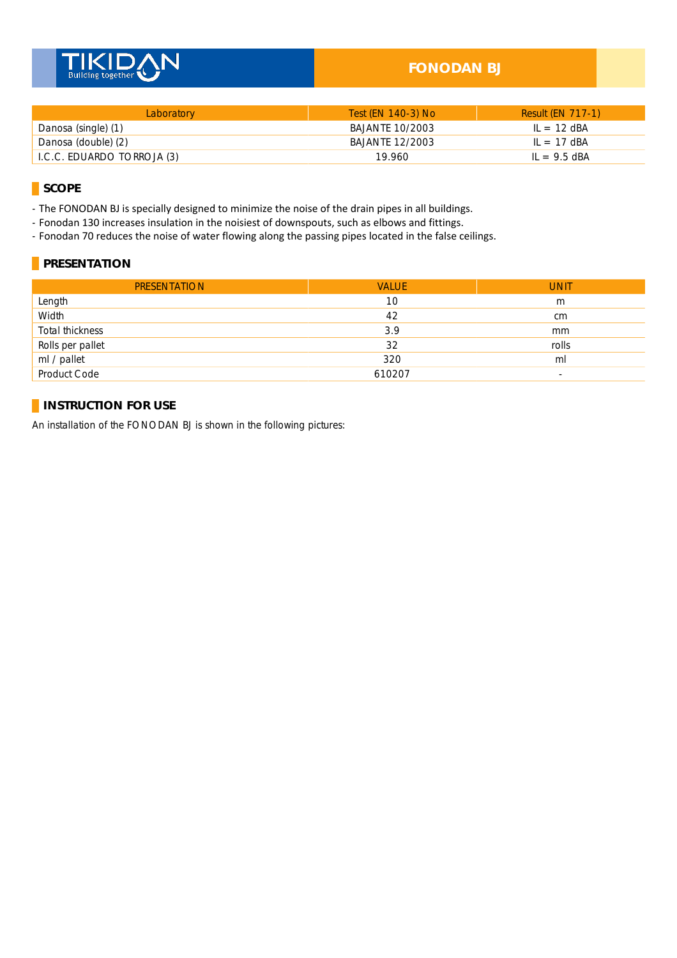

### **FONODAN BJ**

| Laboratory                 | Test (EN 140-3) No | <b>Result (EN 717-1)</b> |
|----------------------------|--------------------|--------------------------|
| Danosa (single) (1)        | BAJANTE 10/2003    | $IL = 12$ dBA            |
| Danosa (double) (2)        | BAJANTE 12/2003    | $IL = 17$ dBA            |
| I.C.C. EDUARDO TORROJA (3) | 19.960             | $IL = 9.5$ dBA           |

**SCOPE**

- The FONODAN BJ is specially designed to minimize the noise of the drain pipes in all buildings.

- Fonodan 130 increases insulation in the noisiest of downspouts, such as elbows and fittings.

- Fonodan 70 reduces the noise of water flowing along the passing pipes located in the false ceilings.

#### **PRESENTATION**

| <b>PRESENTATION</b> | <b>VALUE</b> | <b>UNIT</b>              |
|---------------------|--------------|--------------------------|
| Length              | 10           | m                        |
| Width               | 42           | cm                       |
| Total thickness     | 3.9          | mm                       |
| Rolls per pallet    | 32           | rolls                    |
| ml / pallet         | 320          | ml                       |
| Product Code        | 610207       | $\overline{\phantom{a}}$ |

#### **INSTRUCTION FOR USE**

An installation of the FONODAN BJ is shown in the following pictures: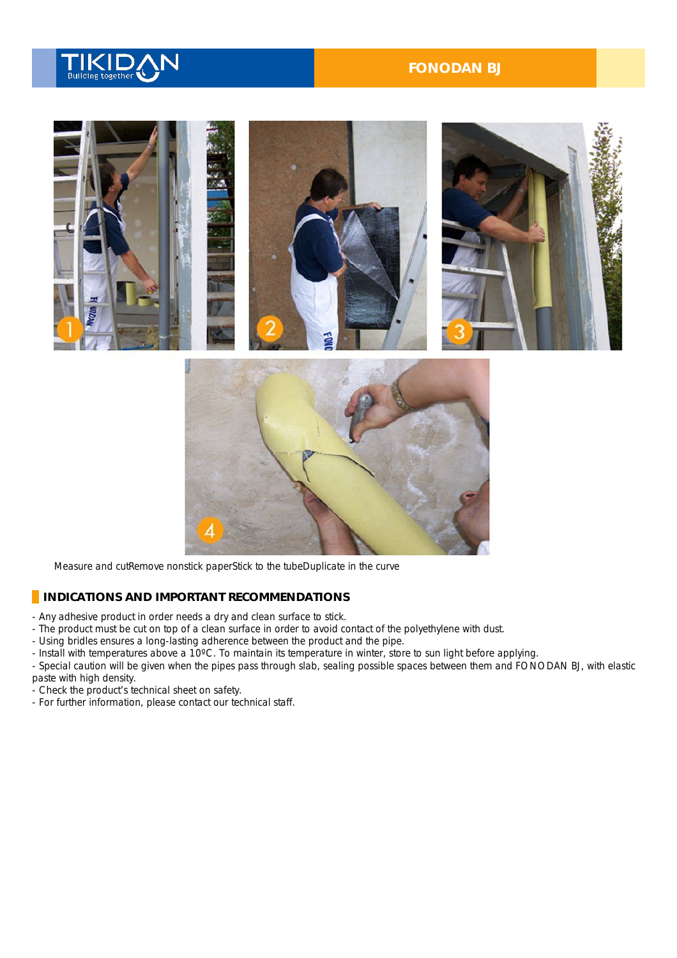

#### **FONODAN BJ**



Measure and cutRemove nonstick paperStick to the tubeDuplicate in the curve

#### **INDICATIONS AND IMPORTANT RECOMMENDATIONS**

- Any adhesive product in order needs a dry and clean surface to stick.
- The product must be cut on top of a clean surface in order to avoid contact of the polyethylene with dust.
- Using bridles ensures a long-lasting adherence between the product and the pipe.
- Install with temperatures above a 10°C. To maintain its temperature in winter, store to sun light before applying.
- Special caution will be given when the pipes pass through slab, sealing possible spaces between them and FONODAN BJ, with elastic paste with high density.
- Check the product's technical sheet on safety.
- For further information, please contact our technical staff.